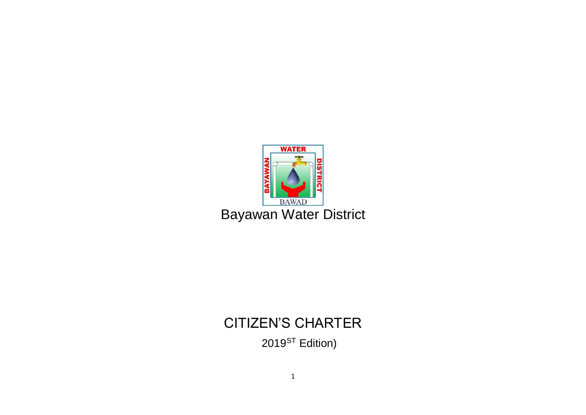

# CITIZEN'S CHARTER 2019<sup>ST</sup> Edition)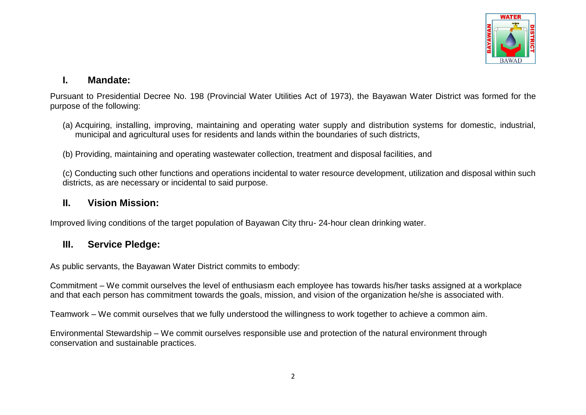

#### **I. Mandate:**

Pursuant to Presidential Decree No. 198 (Provincial Water Utilities Act of 1973), the Bayawan Water District was formed for the purpose of the following:

- (a) Acquiring, installing, improving, maintaining and operating water supply and distribution systems for domestic, industrial, municipal and agricultural uses for residents and lands within the boundaries of such districts,
- (b) Providing, maintaining and operating wastewater collection, treatment and disposal facilities, and

(c) Conducting such other functions and operations incidental to water resource development, utilization and disposal within such districts, as are necessary or incidental to said purpose.

#### **II. Vision Mission:**

Improved living conditions of the target population of Bayawan City thru- 24-hour clean drinking water.

#### **III. Service Pledge:**

As public servants, the Bayawan Water District commits to embody:

Commitment – We commit ourselves the level of enthusiasm each employee has towards his/her tasks assigned at a workplace and that each person has commitment towards the goals, mission, and vision of the organization he/she is associated with.

Teamwork – We commit ourselves that we fully understood the willingness to work together to achieve a common aim.

Environmental Stewardship – We commit ourselves responsible use and protection of the natural environment through conservation and sustainable practices.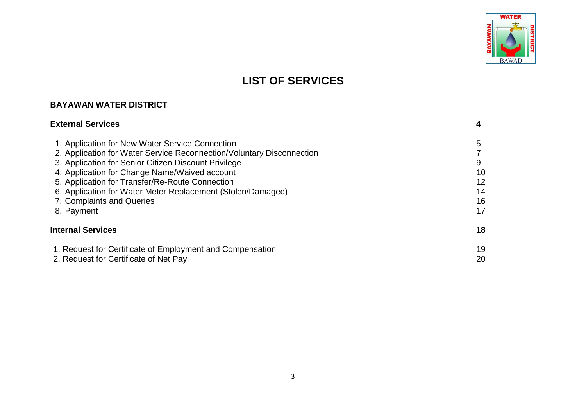

## **LIST OF SERVICES**

#### **BAYAWAN WATER DISTRICT**

# **External Services 4**

| 1. Application for New Water Service Connection                       | 5  |
|-----------------------------------------------------------------------|----|
| 2. Application for Water Service Reconnection/Voluntary Disconnection |    |
| 3. Application for Senior Citizen Discount Privilege                  | 9  |
| 4. Application for Change Name/Waived account                         | 10 |
| 5. Application for Transfer/Re-Route Connection                       | 12 |
| 6. Application for Water Meter Replacement (Stolen/Damaged)           | 14 |
| 7. Complaints and Queries                                             | 16 |
| 8. Payment                                                            | 17 |
| <b>Internal Services</b>                                              | 18 |
| 1. Request for Certificate of Employment and Compensation             | 19 |
| 2. Request for Certificate of Net Pay                                 | 20 |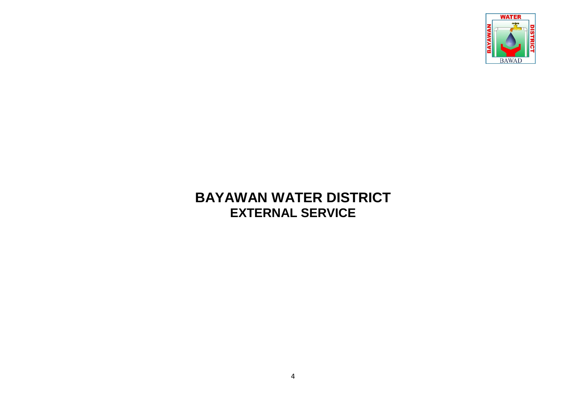

## **BAYAWAN WATER DISTRICT EXTERNAL SERVICE**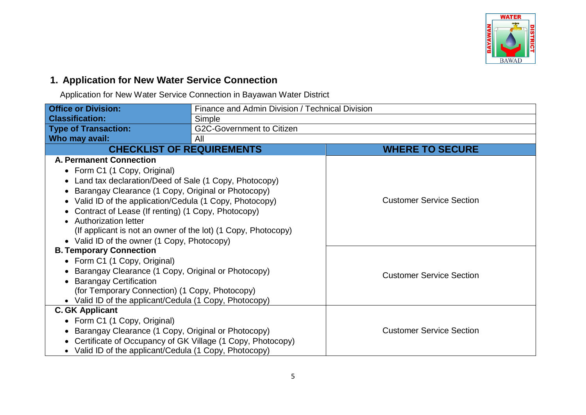

#### **1. Application for New Water Service Connection**

Application for New Water Service Connection in Bayawan Water District

| <b>Office or Division:</b>                                    | Finance and Admin Division / Technical Division |                                 |  |
|---------------------------------------------------------------|-------------------------------------------------|---------------------------------|--|
| <b>Classification:</b>                                        | Simple                                          |                                 |  |
| <b>Type of Transaction:</b>                                   | <b>G2C-Government to Citizen</b>                |                                 |  |
| Who may avail:                                                | All                                             |                                 |  |
| <b>CHECKLIST OF REQUIREMENTS</b>                              |                                                 | <b>WHERE TO SECURE</b>          |  |
| <b>A. Permanent Connection</b>                                |                                                 |                                 |  |
| • Form C1 (1 Copy, Original)                                  |                                                 |                                 |  |
| • Land tax declaration/Deed of Sale (1 Copy, Photocopy)       |                                                 |                                 |  |
| Barangay Clearance (1 Copy, Original or Photocopy)            |                                                 |                                 |  |
| Valid ID of the application/Cedula (1 Copy, Photocopy)        |                                                 | <b>Customer Service Section</b> |  |
| • Contract of Lease (If renting) (1 Copy, Photocopy)          |                                                 |                                 |  |
| • Authorization letter                                        |                                                 |                                 |  |
| (If applicant is not an owner of the lot) (1 Copy, Photocopy) |                                                 |                                 |  |
| • Valid ID of the owner (1 Copy, Photocopy)                   |                                                 |                                 |  |
| <b>B. Temporary Connection</b>                                |                                                 |                                 |  |
| • Form C1 (1 Copy, Original)                                  |                                                 |                                 |  |
| • Barangay Clearance (1 Copy, Original or Photocopy)          |                                                 | <b>Customer Service Section</b> |  |
| <b>Barangay Certification</b>                                 |                                                 |                                 |  |
| (for Temporary Connection) (1 Copy, Photocopy)                |                                                 |                                 |  |
| • Valid ID of the applicant/Cedula (1 Copy, Photocopy)        |                                                 |                                 |  |
| <b>C. GK Applicant</b>                                        |                                                 |                                 |  |
| • Form C1 (1 Copy, Original)                                  |                                                 |                                 |  |
| • Barangay Clearance (1 Copy, Original or Photocopy)          |                                                 | <b>Customer Service Section</b> |  |
| Certificate of Occupancy of GK Village (1 Copy, Photocopy)    |                                                 |                                 |  |
| • Valid ID of the applicant/Cedula (1 Copy, Photocopy)        |                                                 |                                 |  |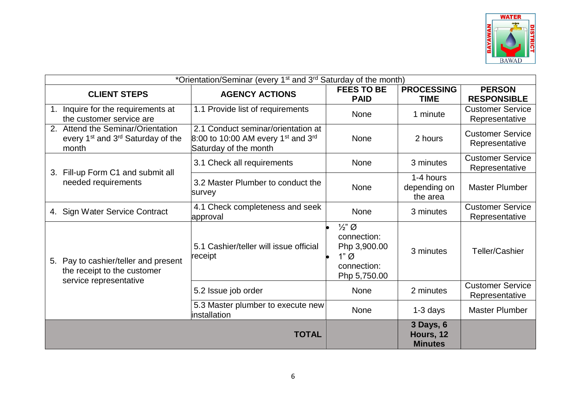

| *Orientation/Seminar (every 1 <sup>st</sup> and 3 <sup>rd</sup> Saturday of the month)                  |                                                                                                                             |                                                                                           |                                          |                                           |
|---------------------------------------------------------------------------------------------------------|-----------------------------------------------------------------------------------------------------------------------------|-------------------------------------------------------------------------------------------|------------------------------------------|-------------------------------------------|
| <b>CLIENT STEPS</b>                                                                                     | <b>AGENCY ACTIONS</b>                                                                                                       | <b>FEES TO BE</b><br><b>PAID</b>                                                          | <b>PROCESSING</b><br><b>TIME</b>         | <b>PERSON</b><br><b>RESPONSIBLE</b>       |
| 1. Inquire for the requirements at<br>the customer service are                                          | 1.1 Provide list of requirements                                                                                            | <b>None</b>                                                                               | 1 minute                                 | <b>Customer Service</b><br>Representative |
| 2. Attend the Seminar/Orientation<br>every 1 <sup>st</sup> and 3 <sup>rd</sup> Saturday of the<br>month | 2.1 Conduct seminar/orientation at<br>$8:00$ to 10:00 AM every 1 <sup>st</sup> and 3 <sup>rd</sup><br>Saturday of the month | <b>None</b>                                                                               | 2 hours                                  | <b>Customer Service</b><br>Representative |
| 3.                                                                                                      | 3.1 Check all requirements                                                                                                  | <b>None</b>                                                                               | 3 minutes                                | <b>Customer Service</b><br>Representative |
| Fill-up Form C1 and submit all<br>needed requirements                                                   | 3.2 Master Plumber to conduct the<br>survey                                                                                 | None                                                                                      | 1-4 hours<br>depending on<br>the area    | <b>Master Plumber</b>                     |
| 4. Sign Water Service Contract                                                                          | 4.1 Check completeness and seek<br>approval                                                                                 | <b>None</b>                                                                               | 3 minutes                                | <b>Customer Service</b><br>Representative |
| 5. Pay to cashier/teller and present<br>the receipt to the customer<br>service representative           | 5.1 Cashier/teller will issue official<br>receipt                                                                           | $\frac{1}{2}$ " Ø<br>connection:<br>Php 3,900.00<br>$1"$ Ø<br>connection:<br>Php 5,750.00 | 3 minutes                                | Teller/Cashier                            |
|                                                                                                         | 5.2 Issue job order                                                                                                         | <b>None</b>                                                                               | 2 minutes                                | <b>Customer Service</b><br>Representative |
|                                                                                                         | 5.3 Master plumber to execute new<br>installation                                                                           | <b>None</b>                                                                               | $1-3$ days                               | <b>Master Plumber</b>                     |
|                                                                                                         | <b>TOTAL</b>                                                                                                                |                                                                                           | 3 Days, 6<br>Hours, 12<br><b>Minutes</b> |                                           |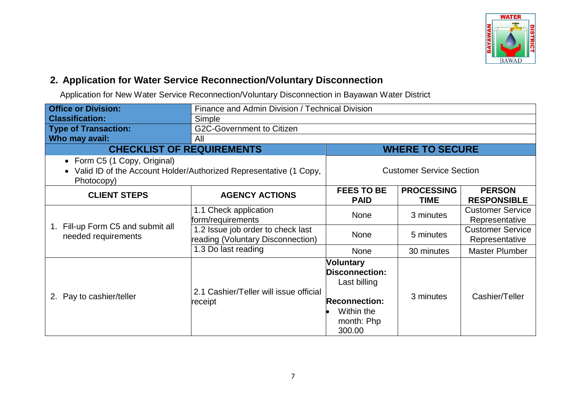

#### **2. Application for Water Service Reconnection/Voluntary Disconnection**

Application for New Water Service Reconnection/Voluntary Disconnection in Bayawan Water District

| <b>Office or Division:</b>                                                                                        |                                                                        | Finance and Admin Division / Technical Division                                                                         |                                  |                                           |  |
|-------------------------------------------------------------------------------------------------------------------|------------------------------------------------------------------------|-------------------------------------------------------------------------------------------------------------------------|----------------------------------|-------------------------------------------|--|
| <b>Classification:</b>                                                                                            | Simple                                                                 |                                                                                                                         |                                  |                                           |  |
| <b>Type of Transaction:</b>                                                                                       | <b>G2C-Government to Citizen</b>                                       |                                                                                                                         |                                  |                                           |  |
| Who may avail:                                                                                                    | All                                                                    |                                                                                                                         |                                  |                                           |  |
| <b>CHECKLIST OF REQUIREMENTS</b>                                                                                  |                                                                        |                                                                                                                         | <b>WHERE TO SECURE</b>           |                                           |  |
| • Form C5 (1 Copy, Original)<br>• Valid ID of the Account Holder/Authorized Representative (1 Copy,<br>Photocopy) |                                                                        | <b>Customer Service Section</b>                                                                                         |                                  |                                           |  |
| <b>CLIENT STEPS</b>                                                                                               | <b>AGENCY ACTIONS</b>                                                  | <b>FEES TO BE</b><br><b>PAID</b>                                                                                        | <b>PROCESSING</b><br><b>TIME</b> | <b>PERSON</b><br><b>RESPONSIBLE</b>       |  |
|                                                                                                                   | 1.1 Check application<br>form/requirements                             | <b>None</b>                                                                                                             | 3 minutes                        | <b>Customer Service</b><br>Representative |  |
| 1. Fill-up Form C5 and submit all<br>needed requirements                                                          | 1.2 Issue job order to check last<br>reading (Voluntary Disconnection) | <b>None</b>                                                                                                             | 5 minutes                        | <b>Customer Service</b><br>Representative |  |
|                                                                                                                   | 1.3 Do last reading                                                    | <b>None</b>                                                                                                             | 30 minutes                       | <b>Master Plumber</b>                     |  |
| 2. Pay to cashier/teller                                                                                          | 2.1 Cashier/Teller will issue official<br>receipt                      | <b>Voluntary</b><br><b>Disconnection:</b><br>Last billing<br><b>Reconnection:</b><br>Within the<br>month: Php<br>300.00 | 3 minutes                        | Cashier/Teller                            |  |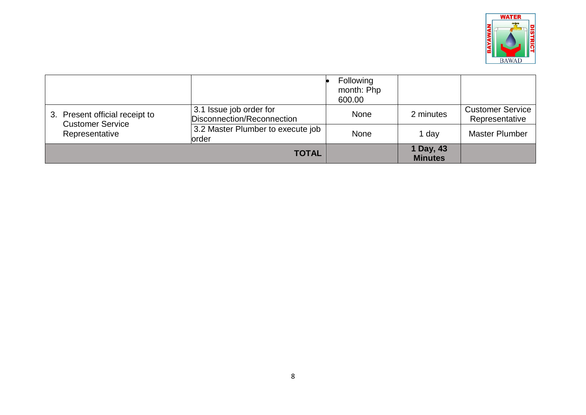

|                                                           |                                                       | Following<br>month: Php<br>600.00 |                             |                                           |
|-----------------------------------------------------------|-------------------------------------------------------|-----------------------------------|-----------------------------|-------------------------------------------|
| 3. Present official receipt to<br><b>Customer Service</b> | 3.1 Issue job order for<br>Disconnection/Reconnection | None                              | 2 minutes                   | <b>Customer Service</b><br>Representative |
| Representative                                            | 3.2 Master Plumber to execute job<br>lorder           | None                              | 1 day                       | <b>Master Plumber</b>                     |
|                                                           | <b>TOTAL</b>                                          |                                   | 1 Day, 43<br><b>Minutes</b> |                                           |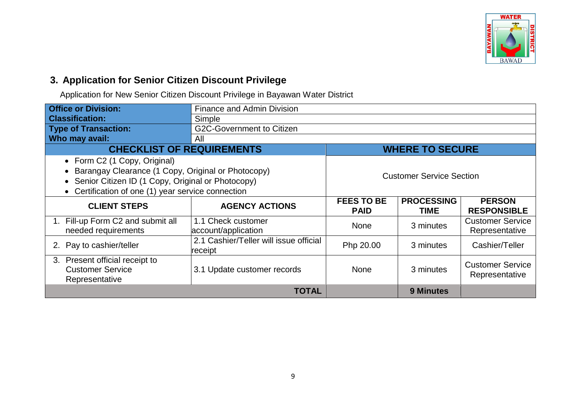

#### **3. Application for Senior Citizen Discount Privilege**

Application for New Senior Citizen Discount Privilege in Bayawan Water District

| <b>Office or Division:</b>                                    | <b>Finance and Admin Division</b>                 |                                                                      |                        |                                           |  |  |
|---------------------------------------------------------------|---------------------------------------------------|----------------------------------------------------------------------|------------------------|-------------------------------------------|--|--|
| <b>Classification:</b>                                        | Simple                                            |                                                                      |                        |                                           |  |  |
| <b>Type of Transaction:</b>                                   | G2C-Government to Citizen                         |                                                                      |                        |                                           |  |  |
| Who may avail:                                                | All                                               |                                                                      |                        |                                           |  |  |
| <b>CHECKLIST OF REQUIREMENTS</b>                              |                                                   |                                                                      | <b>WHERE TO SECURE</b> |                                           |  |  |
| • Form C2 (1 Copy, Original)                                  |                                                   |                                                                      |                        |                                           |  |  |
| • Barangay Clearance (1 Copy, Original or Photocopy)          |                                                   |                                                                      |                        |                                           |  |  |
| • Senior Citizen ID (1 Copy, Original or Photocopy)           | <b>Customer Service Section</b>                   |                                                                      |                        |                                           |  |  |
| Certification of one (1) year service connection<br>$\bullet$ |                                                   |                                                                      |                        |                                           |  |  |
| <b>CLIENT STEPS</b>                                           | <b>AGENCY ACTIONS</b>                             | <b>FEES TO BE</b><br><b>PROCESSING</b><br><b>PAID</b><br><b>TIME</b> |                        | <b>PERSON</b><br><b>RESPONSIBLE</b>       |  |  |
| 1. Fill-up Form C2 and submit all<br>needed requirements      | 1.1 Check customer<br>account/application         | <b>None</b>                                                          | 3 minutes              | <b>Customer Service</b><br>Representative |  |  |
| 2. Pay to cashier/teller                                      | 2.1 Cashier/Teller will issue official<br>receipt | Php 20.00                                                            | 3 minutes              | Cashier/Teller                            |  |  |
| 3. Present official receipt to                                |                                                   |                                                                      |                        | <b>Customer Service</b>                   |  |  |
| <b>Customer Service</b>                                       | 3.1 Update customer records                       | <b>None</b>                                                          | 3 minutes              | Representative                            |  |  |
| Representative                                                |                                                   |                                                                      |                        |                                           |  |  |
|                                                               | <b>TOTAL</b>                                      |                                                                      | <b>9 Minutes</b>       |                                           |  |  |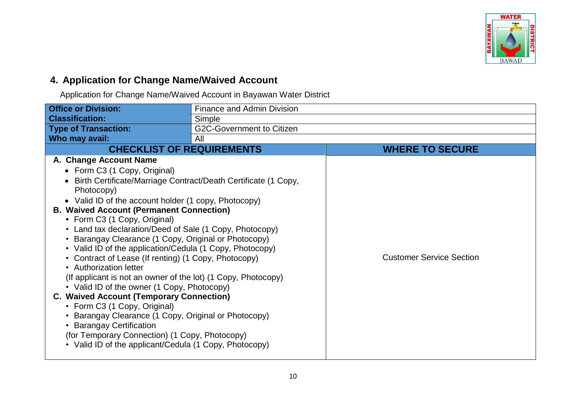

## **4. Application for Change Name/Waived Account**

Application for Change Name/Waived Account in Bayawan Water District

| <b>Office or Division:</b>                                                                                                                                                                                                                                                                                                                                                                                                                                                                                                                                                                                                                                                                                                                                                                                                                                                                                                                          | <b>Finance and Admin Division</b> |                                 |
|-----------------------------------------------------------------------------------------------------------------------------------------------------------------------------------------------------------------------------------------------------------------------------------------------------------------------------------------------------------------------------------------------------------------------------------------------------------------------------------------------------------------------------------------------------------------------------------------------------------------------------------------------------------------------------------------------------------------------------------------------------------------------------------------------------------------------------------------------------------------------------------------------------------------------------------------------------|-----------------------------------|---------------------------------|
| <b>Classification:</b>                                                                                                                                                                                                                                                                                                                                                                                                                                                                                                                                                                                                                                                                                                                                                                                                                                                                                                                              | Simple                            |                                 |
| <b>Type of Transaction:</b>                                                                                                                                                                                                                                                                                                                                                                                                                                                                                                                                                                                                                                                                                                                                                                                                                                                                                                                         | <b>G2C-Government to Citizen</b>  |                                 |
| Who may avail:                                                                                                                                                                                                                                                                                                                                                                                                                                                                                                                                                                                                                                                                                                                                                                                                                                                                                                                                      | All                               |                                 |
| <b>CHECKLIST OF REQUIREMENTS</b>                                                                                                                                                                                                                                                                                                                                                                                                                                                                                                                                                                                                                                                                                                                                                                                                                                                                                                                    |                                   | <b>WHERE TO SECURE</b>          |
| A. Change Account Name<br>• Form C3 (1 Copy, Original)<br>Birth Certificate/Marriage Contract/Death Certificate (1 Copy,<br>Photocopy)<br>• Valid ID of the account holder (1 copy, Photocopy)<br><b>B. Waived Account (Permanent Connection)</b><br>• Form C3 (1 Copy, Original)<br>• Land tax declaration/Deed of Sale (1 Copy, Photocopy)<br>• Barangay Clearance (1 Copy, Original or Photocopy)<br>• Valid ID of the application/Cedula (1 Copy, Photocopy)<br>• Contract of Lease (If renting) (1 Copy, Photocopy)<br>• Authorization letter<br>(If applicant is not an owner of the lot) (1 Copy, Photocopy)<br>• Valid ID of the owner (1 Copy, Photocopy)<br><b>C. Waived Account (Temporary Connection)</b><br>• Form C3 (1 Copy, Original)<br>Barangay Clearance (1 Copy, Original or Photocopy)<br>• Barangay Certification<br>(for Temporary Connection) (1 Copy, Photocopy)<br>• Valid ID of the applicant/Cedula (1 Copy, Photocopy) |                                   | <b>Customer Service Section</b> |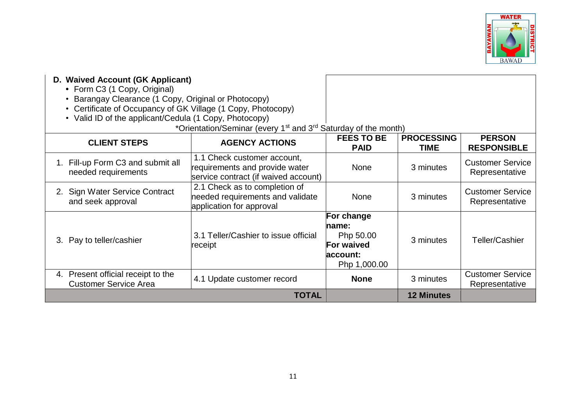

| D. Waived Account (GK Applicant)<br>• Form C3 (1 Copy, Original)                                                                                                                          |                                                                                                       |                                                                                    |                                  |                                           |
|-------------------------------------------------------------------------------------------------------------------------------------------------------------------------------------------|-------------------------------------------------------------------------------------------------------|------------------------------------------------------------------------------------|----------------------------------|-------------------------------------------|
| Barangay Clearance (1 Copy, Original or Photocopy)<br>$\bullet$<br>• Certificate of Occupancy of GK Village (1 Copy, Photocopy)<br>• Valid ID of the applicant/Cedula (1 Copy, Photocopy) |                                                                                                       |                                                                                    |                                  |                                           |
|                                                                                                                                                                                           | *Orientation/Seminar (every 1 <sup>st</sup> and 3 <sup>rd</sup> Saturday of the month)                |                                                                                    |                                  |                                           |
| <b>CLIENT STEPS</b>                                                                                                                                                                       | <b>AGENCY ACTIONS</b>                                                                                 | <b>FEES TO BE</b><br><b>PAID</b>                                                   | <b>PROCESSING</b><br><b>TIME</b> | <b>PERSON</b><br><b>RESPONSIBLE</b>       |
| 1. Fill-up Form C3 and submit all<br>needed requirements                                                                                                                                  | 1.1 Check customer account,<br>requirements and provide water<br>service contract (if waived account) | <b>None</b>                                                                        | 3 minutes                        | <b>Customer Service</b><br>Representative |
| 2. Sign Water Service Contract<br>and seek approval                                                                                                                                       | 2.1 Check as to completion of<br>needed requirements and validate<br>application for approval         | <b>None</b>                                                                        | 3 minutes                        | <b>Customer Service</b><br>Representative |
| 3. Pay to teller/cashier                                                                                                                                                                  | 3.1 Teller/Cashier to issue official<br>receipt                                                       | For change<br>name:<br>Php 50.00<br><b>For waived</b><br>laccount:<br>Php 1,000.00 | 3 minutes                        | Teller/Cashier                            |
| 4. Present official receipt to the<br><b>Customer Service Area</b>                                                                                                                        | 4.1 Update customer record                                                                            | <b>None</b>                                                                        | 3 minutes                        | <b>Customer Service</b><br>Representative |
|                                                                                                                                                                                           | <b>TOTAL</b>                                                                                          |                                                                                    | <b>12 Minutes</b>                |                                           |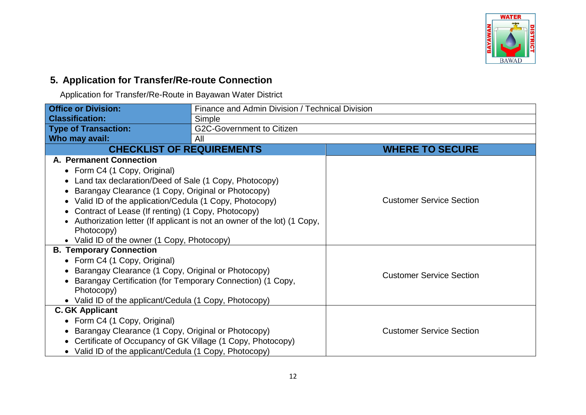

#### **5. Application for Transfer/Re-route Connection**

Application for Transfer/Re-Route in Bayawan Water District

| <b>Office or Division:</b>                                   | Finance and Admin Division / Technical Division                         |                                 |
|--------------------------------------------------------------|-------------------------------------------------------------------------|---------------------------------|
| <b>Classification:</b>                                       | Simple                                                                  |                                 |
| <b>Type of Transaction:</b>                                  | G2C-Government to Citizen                                               |                                 |
| Who may avail:                                               | All                                                                     |                                 |
| <b>CHECKLIST OF REQUIREMENTS</b>                             |                                                                         | <b>WHERE TO SECURE</b>          |
| A. Permanent Connection                                      |                                                                         |                                 |
| • Form C4 (1 Copy, Original)                                 |                                                                         |                                 |
| • Land tax declaration/Deed of Sale (1 Copy, Photocopy)      |                                                                         |                                 |
| • Barangay Clearance (1 Copy, Original or Photocopy)         |                                                                         |                                 |
| • Valid ID of the application/Cedula (1 Copy, Photocopy)     |                                                                         | <b>Customer Service Section</b> |
| • Contract of Lease (If renting) (1 Copy, Photocopy)         |                                                                         |                                 |
|                                                              | Authorization letter (If applicant is not an owner of the lot) (1 Copy, |                                 |
| Photocopy)                                                   |                                                                         |                                 |
| • Valid ID of the owner (1 Copy, Photocopy)                  |                                                                         |                                 |
| <b>B. Temporary Connection</b>                               |                                                                         |                                 |
| • Form C4 (1 Copy, Original)                                 |                                                                         |                                 |
| • Barangay Clearance (1 Copy, Original or Photocopy)         |                                                                         | <b>Customer Service Section</b> |
| Barangay Certification (for Temporary Connection) (1 Copy,   |                                                                         |                                 |
| Photocopy)                                                   |                                                                         |                                 |
| • Valid ID of the applicant/Cedula (1 Copy, Photocopy)       |                                                                         |                                 |
| <b>C. GK Applicant</b>                                       |                                                                         |                                 |
| • Form C4 (1 Copy, Original)                                 |                                                                         |                                 |
| • Barangay Clearance (1 Copy, Original or Photocopy)         |                                                                         | <b>Customer Service Section</b> |
| • Certificate of Occupancy of GK Village (1 Copy, Photocopy) |                                                                         |                                 |
| • Valid ID of the applicant/Cedula (1 Copy, Photocopy)       |                                                                         |                                 |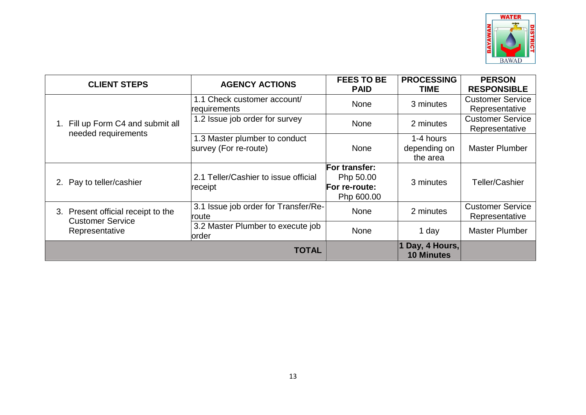

| <b>CLIENT STEPS</b>                                           | <b>AGENCY ACTIONS</b>                                  | <b>FEES TO BE</b><br><b>PAID</b>                          | <b>PROCESSING</b><br><b>TIME</b>      | <b>PERSON</b><br><b>RESPONSIBLE</b>       |
|---------------------------------------------------------------|--------------------------------------------------------|-----------------------------------------------------------|---------------------------------------|-------------------------------------------|
|                                                               | 1.1 Check customer account/<br>requirements            | <b>None</b>                                               | 3 minutes                             | <b>Customer Service</b><br>Representative |
| Fill up Form C4 and submit all                                | 1.2 Issue job order for survey                         | <b>None</b>                                               | 2 minutes                             | <b>Customer Service</b><br>Representative |
| needed requirements                                           | 1.3 Master plumber to conduct<br>survey (For re-route) | None                                                      | 1-4 hours<br>depending on<br>the area | <b>Master Plumber</b>                     |
| 2. Pay to teller/cashier                                      | 2.1 Teller/Cashier to issue official<br>receipt        | For transfer:<br>Php 50.00<br>For re-route:<br>Php 600.00 | 3 minutes                             | Teller/Cashier                            |
| 3. Present official receipt to the<br><b>Customer Service</b> | 3.1 Issue job order for Transfer/Re-<br>route          | None                                                      | 2 minutes                             | <b>Customer Service</b><br>Representative |
| Representative                                                | 3.2 Master Plumber to execute job<br>order             | <b>None</b>                                               | 1 day                                 | <b>Master Plumber</b>                     |
|                                                               | <b>TOTAL</b>                                           |                                                           | Day, 4 Hours,<br><b>10 Minutes</b>    |                                           |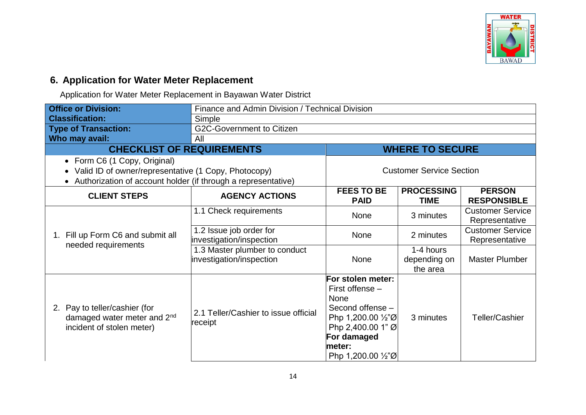

## **6. Application for Water Meter Replacement**

Application for Water Meter Replacement in Bayawan Water District

| <b>Office or Division:</b>                                                                            | Finance and Admin Division / Technical Division           |                                                                                                                                                                       |                                       |                                           |
|-------------------------------------------------------------------------------------------------------|-----------------------------------------------------------|-----------------------------------------------------------------------------------------------------------------------------------------------------------------------|---------------------------------------|-------------------------------------------|
| <b>Classification:</b>                                                                                | Simple                                                    |                                                                                                                                                                       |                                       |                                           |
| <b>Type of Transaction:</b>                                                                           | G2C-Government to Citizen                                 |                                                                                                                                                                       |                                       |                                           |
| Who may avail:                                                                                        | All                                                       |                                                                                                                                                                       |                                       |                                           |
| <b>CHECKLIST OF REQUIREMENTS</b>                                                                      |                                                           |                                                                                                                                                                       | <b>WHERE TO SECURE</b>                |                                           |
| • Form C6 (1 Copy, Original)                                                                          |                                                           |                                                                                                                                                                       |                                       |                                           |
| Valid ID of owner/representative (1 Copy, Photocopy)                                                  |                                                           |                                                                                                                                                                       | <b>Customer Service Section</b>       |                                           |
| Authorization of account holder (if through a representative)                                         |                                                           |                                                                                                                                                                       |                                       |                                           |
| <b>CLIENT STEPS</b>                                                                                   | <b>AGENCY ACTIONS</b>                                     | <b>FEES TO BE</b><br><b>PAID</b>                                                                                                                                      | <b>PROCESSING</b><br><b>TIME</b>      | <b>PERSON</b><br><b>RESPONSIBLE</b>       |
| 1. Fill up Form C6 and submit all<br>needed requirements                                              | 1.1 Check requirements                                    | <b>None</b>                                                                                                                                                           | 3 minutes                             | <b>Customer Service</b><br>Representative |
|                                                                                                       | 1.2 Issue job order for<br>investigation/inspection       | <b>None</b>                                                                                                                                                           | 2 minutes                             | <b>Customer Service</b><br>Representative |
|                                                                                                       | 1.3 Master plumber to conduct<br>investigation/inspection | None                                                                                                                                                                  | 1-4 hours<br>depending on<br>the area | <b>Master Plumber</b>                     |
| 2. Pay to teller/cashier (for<br>damaged water meter and 2 <sup>nd</sup><br>incident of stolen meter) | 2.1 Teller/Cashier to issue official<br>receipt           | For stolen meter:<br>First offense -<br>None<br>Second offense -<br>Php 1,200.00 1/2"Ø<br>Php 2,400.00 1" Ø<br>For damaged<br>meter:<br>Php 1,200.00 $\frac{1}{2}$ "Ø | 3 minutes                             | <b>Teller/Cashier</b>                     |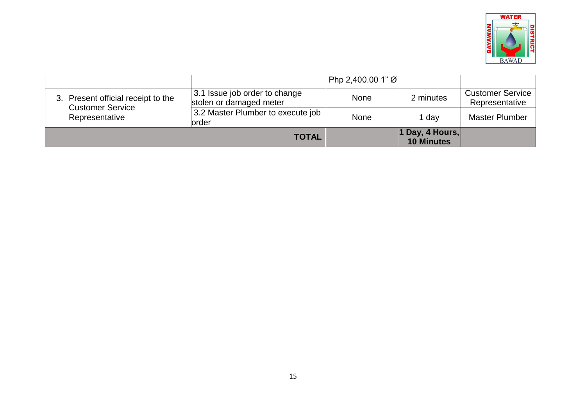

|                                                               |                                                          | $ $ Php 2,400.00 1" Ø |                                      |                                           |
|---------------------------------------------------------------|----------------------------------------------------------|-----------------------|--------------------------------------|-------------------------------------------|
| 3. Present official receipt to the<br><b>Customer Service</b> | 3.1 Issue job order to change<br>stolen or damaged meter | None                  | 2 minutes                            | <b>Customer Service</b><br>Representative |
| Representative                                                | 3.2 Master Plumber to execute job<br>order               | None                  | 1 day                                | <b>Master Plumber</b>                     |
|                                                               | <b>TOTAL</b>                                             |                       | 1 Day, 4 Hours,<br><b>10 Minutes</b> |                                           |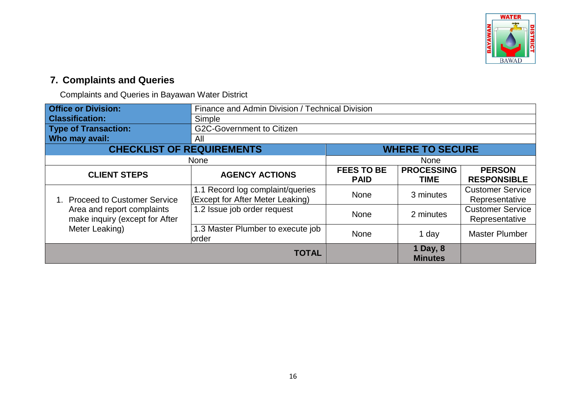

## **7. Complaints and Queries**

Complaints and Queries in Bayawan Water District

| <b>Office or Division:</b>                                                                                           | Finance and Admin Division / Technical Division                      |                                  |                                  |                                           |
|----------------------------------------------------------------------------------------------------------------------|----------------------------------------------------------------------|----------------------------------|----------------------------------|-------------------------------------------|
| <b>Classification:</b>                                                                                               | Simple                                                               |                                  |                                  |                                           |
| <b>Type of Transaction:</b>                                                                                          | <b>G2C-Government to Citizen</b>                                     |                                  |                                  |                                           |
| Who may avail:                                                                                                       | All                                                                  |                                  |                                  |                                           |
| <b>CHECKLIST OF REQUIREMENTS</b>                                                                                     | <b>WHERE TO SECURE</b>                                               |                                  |                                  |                                           |
|                                                                                                                      | <b>None</b>                                                          |                                  | <b>None</b>                      |                                           |
| <b>CLIENT STEPS</b>                                                                                                  | <b>AGENCY ACTIONS</b>                                                | <b>FEES TO BE</b><br><b>PAID</b> | <b>PROCESSING</b><br><b>TIME</b> | <b>PERSON</b><br><b>RESPONSIBLE</b>       |
| <b>Proceed to Customer Service</b><br>Area and report complaints<br>make inquiry (except for After<br>Meter Leaking) | 1.1 Record log complaint/queries<br>(Except for After Meter Leaking) | <b>None</b>                      | 3 minutes                        | <b>Customer Service</b><br>Representative |
|                                                                                                                      | 1.2 Issue job order request                                          | None                             | 2 minutes                        | <b>Customer Service</b><br>Representative |
|                                                                                                                      | 1.3 Master Plumber to execute job<br>order                           | None                             | 1 day                            | <b>Master Plumber</b>                     |
|                                                                                                                      | <b>TOTAL</b>                                                         |                                  | 1 Day, 8<br><b>Minutes</b>       |                                           |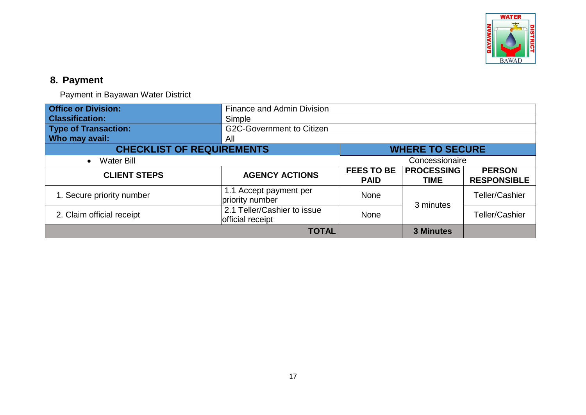

## **8. Payment**

Payment in Bayawan Water District

| <b>Office or Division:</b>       | <b>Finance and Admin Division</b>               |                                  |                                  |                                     |
|----------------------------------|-------------------------------------------------|----------------------------------|----------------------------------|-------------------------------------|
| <b>Classification:</b>           | Simple                                          |                                  |                                  |                                     |
| <b>Type of Transaction:</b>      | <b>G2C-Government to Citizen</b>                |                                  |                                  |                                     |
| Who may avail:                   | All                                             |                                  |                                  |                                     |
| <b>CHECKLIST OF REQUIREMENTS</b> |                                                 | <b>WHERE TO SECURE</b>           |                                  |                                     |
| <b>Water Bill</b><br>$\bullet$   |                                                 | Concessionaire                   |                                  |                                     |
| <b>CLIENT STEPS</b>              | <b>AGENCY ACTIONS</b>                           | <b>FEES TO BE</b><br><b>PAID</b> | <b>PROCESSING</b><br><b>TIME</b> | <b>PERSON</b><br><b>RESPONSIBLE</b> |
| 1. Secure priority number        | 1.1 Accept payment per<br>priority number       | <b>None</b>                      | 3 minutes                        | Teller/Cashier                      |
| 2. Claim official receipt        | 2.1 Teller/Cashier to issue<br>official receipt | <b>None</b>                      |                                  | <b>Teller/Cashier</b>               |
|                                  | <b>TOTAL</b>                                    |                                  | <b>3 Minutes</b>                 |                                     |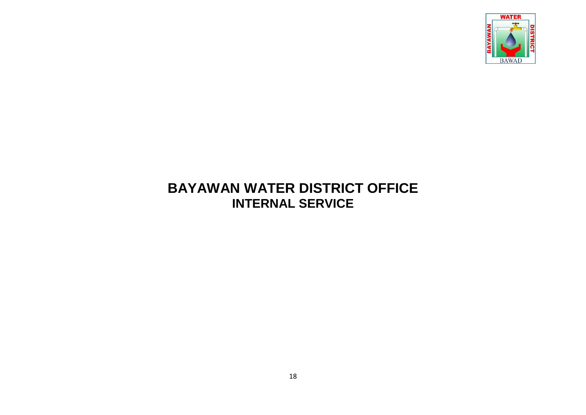

# **BAYAWAN WATER DISTRICT OFFICE INTERNAL SERVICE**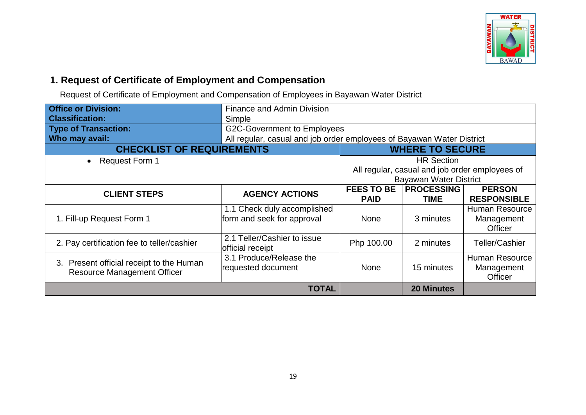

#### **1. Request of Certificate of Employment and Compensation**

Request of Certificate of Employment and Compensation of Employees in Bayawan Water District

| <b>Office or Division:</b>                                                     | <b>Finance and Admin Division</b>                                               |                                  |                                  |                                                       |
|--------------------------------------------------------------------------------|---------------------------------------------------------------------------------|----------------------------------|----------------------------------|-------------------------------------------------------|
| <b>Classification:</b>                                                         | Simple                                                                          |                                  |                                  |                                                       |
| <b>Type of Transaction:</b>                                                    | <b>G2C-Government to Employees</b>                                              |                                  |                                  |                                                       |
| Who may avail:                                                                 | All regular, casual and job order employees of Bayawan Water District           |                                  |                                  |                                                       |
| <b>CHECKLIST OF REQUIREMENTS</b>                                               | <b>WHERE TO SECURE</b>                                                          |                                  |                                  |                                                       |
| <b>Request Form 1</b>                                                          |                                                                                 | <b>HR Section</b>                |                                  |                                                       |
|                                                                                | All regular, casual and job order employees of<br><b>Bayawan Water District</b> |                                  |                                  |                                                       |
| <b>CLIENT STEPS</b>                                                            | <b>AGENCY ACTIONS</b>                                                           | <b>FEES TO BE</b><br><b>PAID</b> | <b>PROCESSING</b><br><b>TIME</b> | <b>PERSON</b><br><b>RESPONSIBLE</b>                   |
| 1. Fill-up Request Form 1                                                      | 1.1 Check duly accomplished<br>form and seek for approval                       | <b>None</b>                      | 3 minutes                        | <b>Human Resource</b><br>Management<br><b>Officer</b> |
| 2. Pay certification fee to teller/cashier                                     | 2.1 Teller/Cashier to issue<br>official receipt                                 | Php 100.00                       | 2 minutes                        | Teller/Cashier                                        |
| 3. Present official receipt to the Human<br><b>Resource Management Officer</b> | 3.1 Produce/Release the<br>requested document                                   | <b>None</b>                      | 15 minutes                       | <b>Human Resource</b><br>Management<br><b>Officer</b> |
|                                                                                | TOTAL                                                                           |                                  | <b>20 Minutes</b>                |                                                       |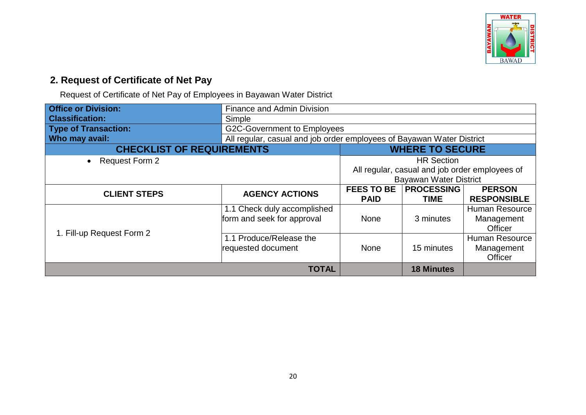

## **2. Request of Certificate of Net Pay**

Request of Certificate of Net Pay of Employees in Bayawan Water District

| <b>Office or Division:</b>       | <b>Finance and Admin Division</b>                                     |                                                |                   |                       |
|----------------------------------|-----------------------------------------------------------------------|------------------------------------------------|-------------------|-----------------------|
| <b>Classification:</b>           | Simple                                                                |                                                |                   |                       |
| <b>Type of Transaction:</b>      | <b>G2C-Government to Employees</b>                                    |                                                |                   |                       |
| Who may avail:                   | All regular, casual and job order employees of Bayawan Water District |                                                |                   |                       |
| <b>CHECKLIST OF REQUIREMENTS</b> | <b>WHERE TO SECURE</b>                                                |                                                |                   |                       |
| • Request Form 2                 |                                                                       | <b>HR Section</b>                              |                   |                       |
|                                  |                                                                       | All regular, casual and job order employees of |                   |                       |
|                                  |                                                                       | Bayawan Water District                         |                   |                       |
| <b>CLIENT STEPS</b>              | <b>AGENCY ACTIONS</b>                                                 | <b>FEES TO BE</b>                              | <b>PROCESSING</b> | <b>PERSON</b>         |
|                                  |                                                                       | <b>PAID</b>                                    | <b>TIME</b>       | <b>RESPONSIBLE</b>    |
|                                  | 1.1 Check duly accomplished                                           |                                                |                   | <b>Human Resource</b> |
|                                  | form and seek for approval                                            | <b>None</b>                                    | 3 minutes         | Management            |
| 1. Fill-up Request Form 2        |                                                                       |                                                |                   | <b>Officer</b>        |
|                                  | 1.1 Produce/Release the                                               |                                                |                   | <b>Human Resource</b> |
|                                  | requested document                                                    | <b>None</b>                                    | 15 minutes        | Management            |
|                                  |                                                                       |                                                |                   | Officer               |
|                                  | <b>TOTAL</b>                                                          |                                                | <b>18 Minutes</b> |                       |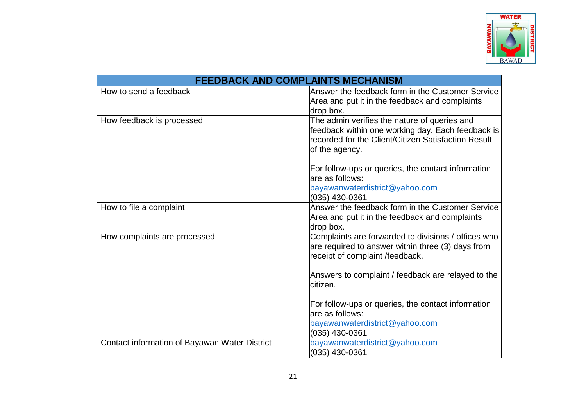

| <b>FEEDBACK AND COMPLAINTS MECHANISM</b>      |                                                     |  |  |  |
|-----------------------------------------------|-----------------------------------------------------|--|--|--|
| How to send a feedback                        | Answer the feedback form in the Customer Service    |  |  |  |
|                                               | Area and put it in the feedback and complaints      |  |  |  |
|                                               | drop box.                                           |  |  |  |
| How feedback is processed                     | The admin verifies the nature of queries and        |  |  |  |
|                                               | feedback within one working day. Each feedback is   |  |  |  |
|                                               | recorded for the Client/Citizen Satisfaction Result |  |  |  |
|                                               | of the agency.                                      |  |  |  |
|                                               | For follow-ups or queries, the contact information  |  |  |  |
|                                               | are as follows:                                     |  |  |  |
|                                               | bayawanwaterdistrict@yahoo.com                      |  |  |  |
|                                               | (035) 430-0361                                      |  |  |  |
| How to file a complaint                       | Answer the feedback form in the Customer Service    |  |  |  |
|                                               | Area and put it in the feedback and complaints      |  |  |  |
|                                               | drop box.                                           |  |  |  |
| How complaints are processed                  | Complaints are forwarded to divisions / offices who |  |  |  |
|                                               | are required to answer within three (3) days from   |  |  |  |
|                                               | receipt of complaint /feedback.                     |  |  |  |
|                                               | Answers to complaint / feedback are relayed to the  |  |  |  |
|                                               | lcitizen.                                           |  |  |  |
|                                               |                                                     |  |  |  |
|                                               | For follow-ups or queries, the contact information  |  |  |  |
|                                               | are as follows:                                     |  |  |  |
|                                               | bayawanwaterdistrict@yahoo.com                      |  |  |  |
|                                               | (035) 430-0361                                      |  |  |  |
| Contact information of Bayawan Water District | bayawanwaterdistrict@yahoo.com                      |  |  |  |
|                                               | (035) 430-0361                                      |  |  |  |